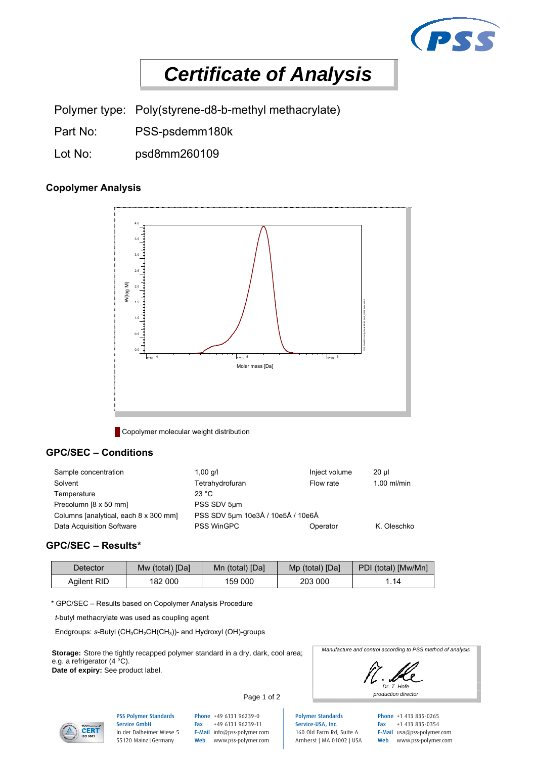

# *Certificate of Analysis*

Polymer type: Poly(styrene-d8-b-methyl methacrylate)

- Part No: PSS-psdemm180k
- Lot No: psd8mm260109

# **Copolymer Analysis**



**Copolymer molecular weight distribution** 

## **GPC/SEC – Conditions**

| Sample concentration                  | 1,00 $q/l$                        | Inject volume | 20 ul         |
|---------------------------------------|-----------------------------------|---------------|---------------|
| Solvent                               | Tetrahydrofuran                   | Flow rate     | $1.00$ ml/min |
| Temperature                           | 23 $^{\circ}$ C                   |               |               |
| Precolumn [8 x 50 mm]                 | PSS SDV 5um                       |               |               |
| Columns [analytical, each 8 x 300 mm] | PSS SDV 5um 10e3Å / 10e5Å / 10e6Å |               |               |
| Data Acquisition Software             | <b>PSS WinGPC</b>                 | Operator      | K. Oleschko   |

#### **GPC/SEC – Results\***

| Detector    | Mw (total) [Da] | Mn (total) [Da] | Mp (total) [Da] | PDI (total) [Mw/Mn] |
|-------------|-----------------|-----------------|-----------------|---------------------|
| Aailent RID | 182 000         | 159 000         | 203 000         | .14                 |

\* GPC/SEC – Results based on Copolymer Analysis Procedure

 *t*-butyl methacrylate was used as coupling agent

Endgroups: *s*-Butyl (CH<sub>3</sub>CH<sub>2</sub>CH(CH<sub>3</sub>))- and Hydroxyl (OH)-groups

**Storage:** Store the tightly recapped polymer standard in a dry, dark, cool area; e.g. a refrigerator (4 °C).

**Date of expiry:** See product label.



*Manufacture and control according to PSS method of analysis* 





PSS Polymer Standards Service GmbH In der Dalheimer Wiese 5 55120 Mainz |Germany

Phone +49 6131 96239-0 Page 1 of 2

Fax +49 6131 96239-11 E-Mail info@pss-polymer.com Web www.pss-polymer.com

Polymer Standards Service-USA, Inc. 160 Old Farm Rd, Suite A Amherst | MA 01002 | USA Phone +1 413 835-0265 Fax +1 413 835-0354 E-Mail usa@pss-polymer.com Web www.pss-polymer.com